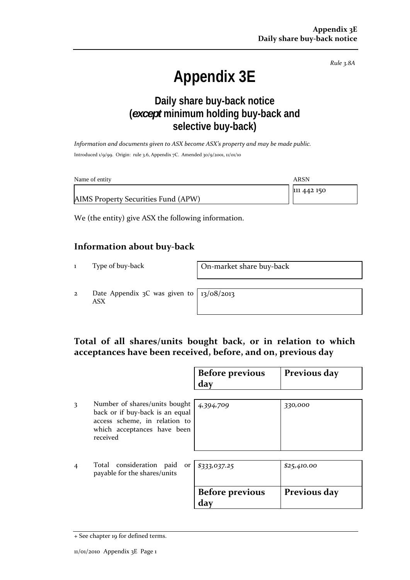*Rule 3.8A*

# **Appendix 3E**

## **Daily share buy-back notice (***except* **minimum holding buy-back and selective buy-back)**

*Information and documents given to ASX become ASX's property and may be made public.* Introduced 1/9/99. Origin: rule 3.6, Appendix 7C. Amended 30/9/2001, 11/01/10

| Name of entity                      | ARSN        |
|-------------------------------------|-------------|
|                                     | 111 442 150 |
| AIMS Property Securities Fund (APW) |             |

We (the entity) give ASX the following information.

#### **Information about buy‐back**

1 Type of buy-back **On-market share buy-back** 

2 Date Appendix 3C was given to ASX

13/08/2013

## **Total of all shares/units bought back, or in relation to which acceptances have been received, before, and on, previous day**

|                |                                                                                                                                              | <b>Before previous</b><br>day | Previous day |
|----------------|----------------------------------------------------------------------------------------------------------------------------------------------|-------------------------------|--------------|
| 3              | Number of shares/units bought<br>back or if buy-back is an equal<br>access scheme, in relation to<br>which acceptances have been<br>received | 4,394,709                     | 330,000      |
| $\overline{4}$ | Total consideration paid<br>or<br>payable for the shares/units                                                                               | \$333,037.25                  | \$25,410.00  |
|                |                                                                                                                                              | <b>Before previous</b><br>day | Previous day |

<sup>+</sup> See chapter 19 for defined terms.